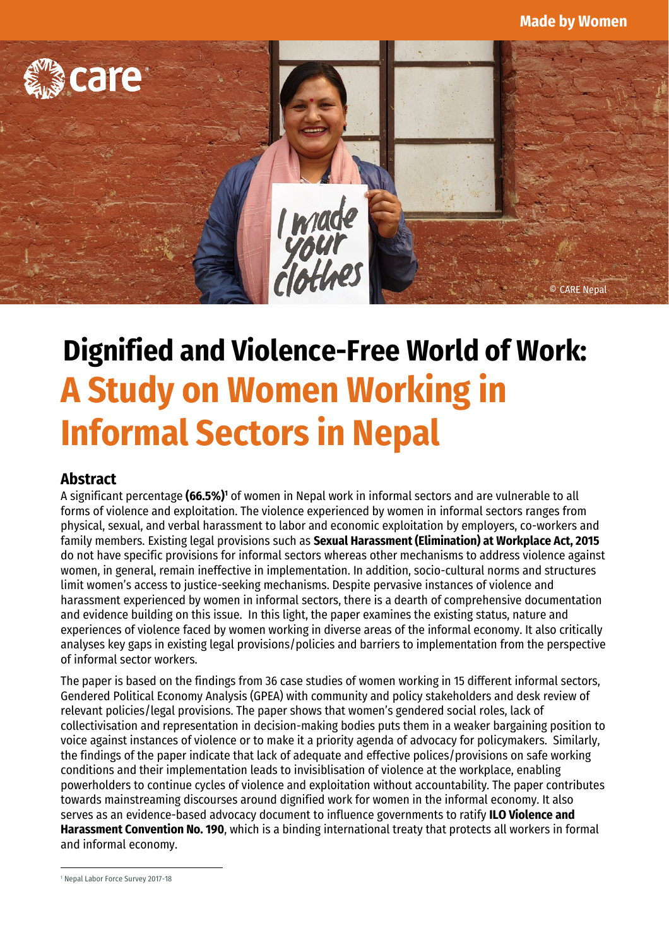

# **Dignified and Violence-Free World of Work: A Study on Women Working in Informal Sectors in Nepal**

#### **Abstract**

A significant percentage **(66.5%)<sup>1</sup>** of women in Nepal work in informal sectors and are vulnerable to all forms of violence and exploitation. The violence experienced by women in informal sectors ranges from physical, sexual, and verbal harassment to labor and economic exploitation by employers, co-workers and family members. Existing legal provisions such as **Sexual Harassment (Elimination) at Workplace Act, 2015** do not have specific provisions for informal sectors whereas other mechanisms to address violence against women, in general, remain ineffective in implementation. In addition, socio-cultural norms and structures limit women's access to justice-seeking mechanisms. Despite pervasive instances of violence and harassment experienced by women in informal sectors, there is a dearth of comprehensive documentation and evidence building on this issue. In this light, the paper examines the existing status, nature and experiences of violence faced by women working in diverse areas of the informal economy. It also critically analyses key gaps in existing legal provisions/policies and barriers to implementation from the perspective of informal sector workers.

The paper is based on the findings from 36 case studies of women working in 15 different informal sectors, Gendered Political Economy Analysis (GPEA) with community and policy stakeholders and desk review of relevant policies/legal provisions. The paper shows that women's gendered social roles, lack of collectivisation and representation in decision-making bodies puts them in a weaker bargaining position to voice against instances of violence or to make it a priority agenda of advocacy for policymakers. Similarly, the findings of the paper indicate that lack of adequate and effective polices/provisions on safe working conditions and their implementation leads to invisiblisation of violence at the workplace, enabling powerholders to continue cycles of violence and exploitation without accountability. The paper contributes towards mainstreaming discourses around dignified work for women in the informal economy. It also serves as an evidence-based advocacy document to influence governments to ratify **ILO Violence and Harassment Convention No. 190**, which is a binding international treaty that protects all workers in formal and informal economy.

<sup>1</sup> Nepal Labor Force Survey 2017-18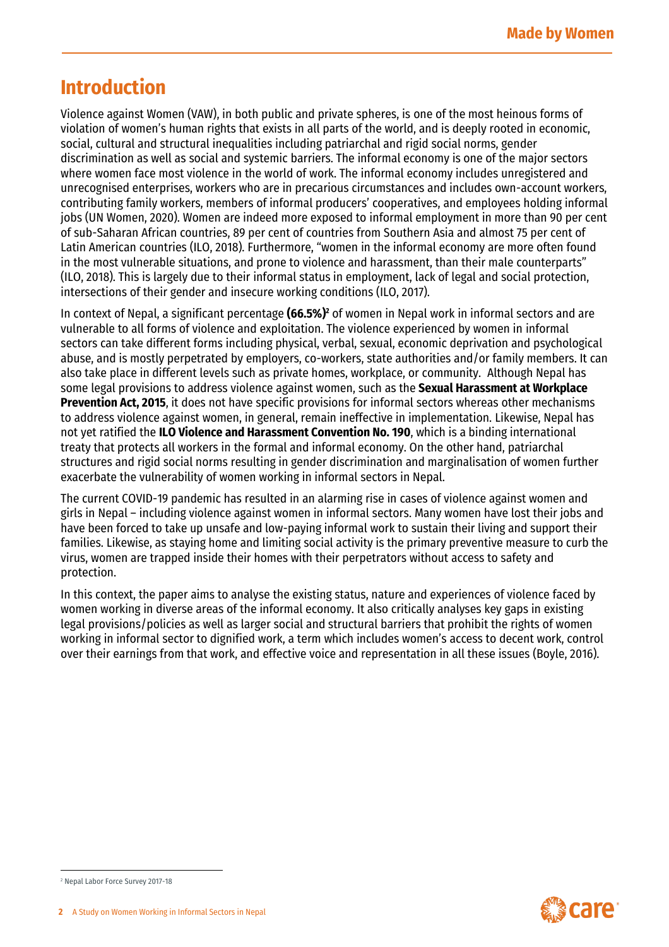## **Introduction**

Violence against Women (VAW), in both public and private spheres, is one of the most heinous forms of violation of women's human rights that exists in all parts of the world, and is deeply rooted in economic, social, cultural and structural inequalities including patriarchal and rigid social norms, gender discrimination as well as social and systemic barriers. The informal economy is one of the major sectors where women face most violence in the world of work. The informal economy includes unregistered and unrecognised enterprises, workers who are in precarious circumstances and includes own-account workers, contributing family workers, members of informal producers' cooperatives, and employees holding informal jobs (UN Women, 2020). Women are indeed more exposed to informal employment in more than 90 per cent of sub-Saharan African countries, 89 per cent of countries from Southern Asia and almost 75 per cent of Latin American countries (ILO, 2018). Furthermore, "women in the informal economy are more often found in the most vulnerable situations, and prone to violence and harassment, than their male counterparts" (ILO, 2018). This is largely due to their informal status in employment, lack of legal and social protection, intersections of their gender and insecure working conditions (ILO, 2017).

In context of Nepal, a significant percentage **(66.5%)<sup>2</sup>** of women in Nepal work in informal sectors and are vulnerable to all forms of violence and exploitation. The violence experienced by women in informal sectors can take different forms including physical, verbal, sexual, economic deprivation and psychological abuse, and is mostly perpetrated by employers, co-workers, state authorities and/or family members. It can also take place in different levels such as private homes, workplace, or community. Although Nepal has some legal provisions to address violence against women, such as the **Sexual Harassment at Workplace Prevention Act, 2015**, it does not have specific provisions for informal sectors whereas other mechanisms to address violence against women, in general, remain ineffective in implementation. Likewise, Nepal has not yet ratified the **ILO Violence and Harassment Convention No. 190**, which is a binding international treaty that protects all workers in the formal and informal economy. On the other hand, patriarchal structures and rigid social norms resulting in gender discrimination and marginalisation of women further exacerbate the vulnerability of women working in informal sectors in Nepal.

The current COVID-19 pandemic has resulted in an alarming rise in cases of violence against women and girls in Nepal – including violence against women in informal sectors. Many women have lost their jobs and have been forced to take up unsafe and low-paying informal work to sustain their living and support their families. Likewise, as staying home and limiting social activity is the primary preventive measure to curb the virus, women are trapped inside their homes with their perpetrators without access to safety and protection.

In this context, the paper aims to analyse the existing status, nature and experiences of violence faced by women working in diverse areas of the informal economy. It also critically analyses key gaps in existing legal provisions/policies as well as larger social and structural barriers that prohibit the rights of women working in informal sector to dignified work, a term which includes women's access to decent work, control over their earnings from that work, and effective voice and representation in all these issues (Boyle, 2016).



<sup>2</sup> Nepal Labor Force Survey 2017-18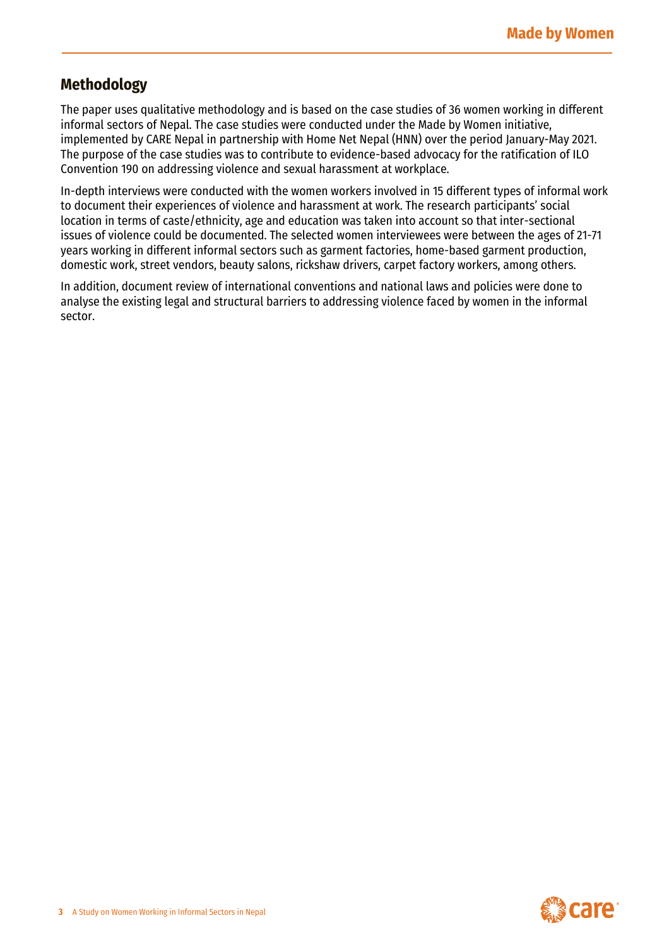#### **Methodology**

The paper uses qualitative methodology and is based on the case studies of 36 women working in different informal sectors of Nepal. The case studies were conducted under the Made by Women initiative, implemented by CARE Nepal in partnership with Home Net Nepal (HNN) over the period January-May 2021. The purpose of the case studies was to contribute to evidence-based advocacy for the ratification of ILO Convention 190 on addressing violence and sexual harassment at workplace.

In-depth interviews were conducted with the women workers involved in 15 different types of informal work to document their experiences of violence and harassment at work. The research participants' social location in terms of caste/ethnicity, age and education was taken into account so that inter-sectional issues of violence could be documented. The selected women interviewees were between the ages of 21-71 years working in different informal sectors such as garment factories, home-based garment production, domestic work, street vendors, beauty salons, rickshaw drivers, carpet factory workers, among others.

In addition, document review of international conventions and national laws and policies were done to analyse the existing legal and structural barriers to addressing violence faced by women in the informal sector.

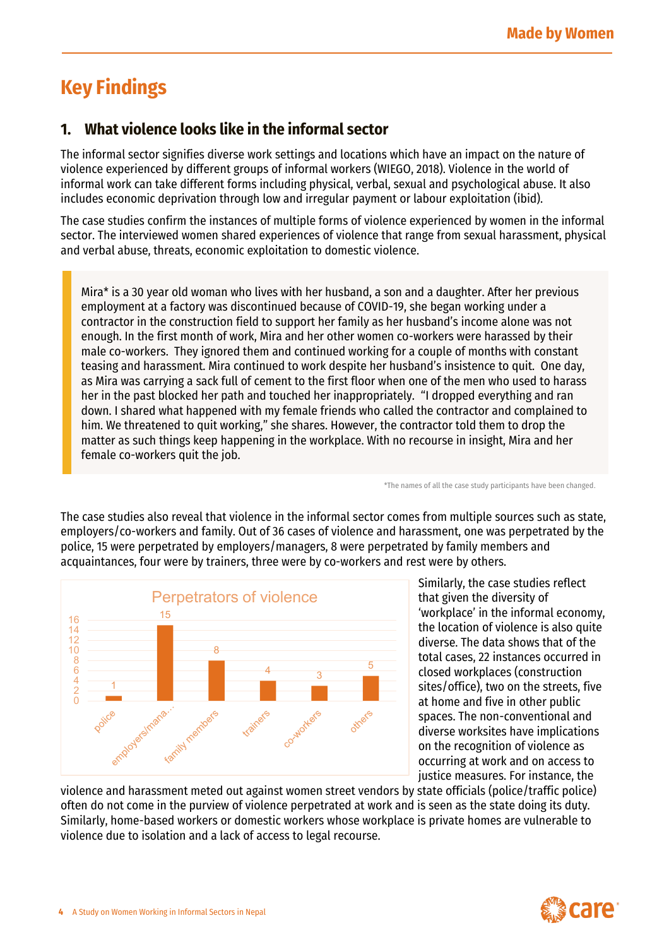# **Key Findings**

## **1. What violence looks like in the informal sector**

The informal sector signifies diverse work settings and locations which have an impact on the nature of violence experienced by different groups of informal workers (WIEGO, 2018). Violence in the world of informal work can take different forms including physical, verbal, sexual and psychological abuse. It also includes economic deprivation through low and irregular payment or labour exploitation (ibid).

The case studies confirm the instances of multiple forms of violence experienced by women in the informal sector. The interviewed women shared experiences of violence that range from sexual harassment, physical and verbal abuse, threats, economic exploitation to domestic violence.

Mira\* is a 30 year old woman who lives with her husband, a son and a daughter. After her previous employment at a factory was discontinued because of COVID-19, she began working under a contractor in the construction field to support her family as her husband's income alone was not enough. In the first month of work, Mira and her other women co-workers were harassed by their male co-workers. They ignored them and continued working for a couple of months with constant teasing and harassment. Mira continued to work despite her husband's insistence to quit. One day, as Mira was carrying a sack full of cement to the first floor when one of the men who used to harass her in the past blocked her path and touched her inappropriately. "I dropped everything and ran down. I shared what happened with my female friends who called the contractor and complained to him. We threatened to quit working," she shares. However, the contractor told them to drop the matter as such things keep happening in the workplace. With no recourse in insight, Mira and her female co-workers quit the job.

\*The names of all the case study participants have been changed.

The case studies also reveal that violence in the informal sector comes from multiple sources such as state, employers/co-workers and family. Out of 36 cases of violence and harassment, one was perpetrated by the police, 15 were perpetrated by employers/managers, 8 were perpetrated by family members and acquaintances, four were by trainers, three were by co-workers and rest were by others.



Similarly, the case studies reflect that given the diversity of 'workplace' in the informal economy, the location of violence is also quite diverse. The data shows that of the total cases, 22 instances occurred in closed workplaces (construction sites/office), two on the streets, five at home and five in other public spaces. The non-conventional and diverse worksites have implications on the recognition of violence as occurring at work and on access to justice measures. For instance, the

violence and harassment meted out against women street vendors by state officials (police/traffic police) often do not come in the purview of violence perpetrated at work and is seen as the state doing its duty. Similarly, home-based workers or domestic workers whose workplace is private homes are vulnerable to violence due to isolation and a lack of access to legal recourse.

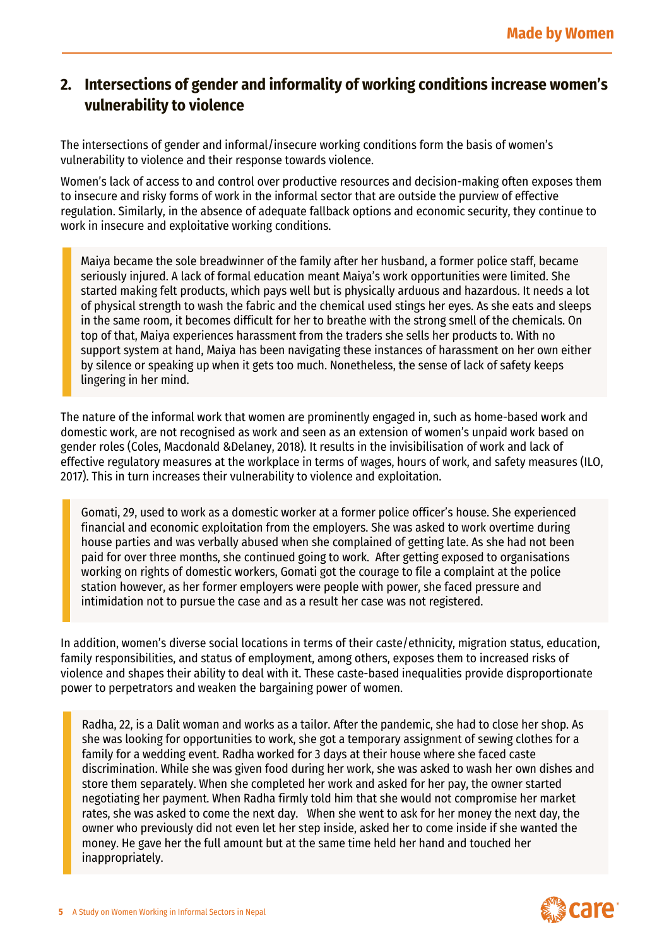## **2. Intersections of gender and informality of working conditions increase women's vulnerability to violence**

The intersections of gender and informal/insecure working conditions form the basis of women's vulnerability to violence and their response towards violence.

Women's lack of access to and control over productive resources and decision-making often exposes them to insecure and risky forms of work in the informal sector that are outside the purview of effective regulation. Similarly, in the absence of adequate fallback options and economic security, they continue to work in insecure and exploitative working conditions.

Maiya became the sole breadwinner of the family after her husband, a former police staff, became seriously injured. A lack of formal education meant Maiya's work opportunities were limited. She started making felt products, which pays well but is physically arduous and hazardous. It needs a lot of physical strength to wash the fabric and the chemical used stings her eyes. As she eats and sleeps in the same room, it becomes difficult for her to breathe with the strong smell of the chemicals. On top of that, Maiya experiences harassment from the traders she sells her products to. With no support system at hand, Maiya has been navigating these instances of harassment on her own either by silence or speaking up when it gets too much. Nonetheless, the sense of lack of safety keeps lingering in her mind.

The nature of the informal work that women are prominently engaged in, such as home-based work and domestic work, are not recognised as work and seen as an extension of women's unpaid work based on gender roles (Coles, Macdonald &Delaney, 2018). It results in the invisibilisation of work and lack of effective regulatory measures at the workplace in terms of wages, hours of work, and safety measures (ILO, 2017). This in turn increases their vulnerability to violence and exploitation.

Gomati, 29, used to work as a domestic worker at a former police officer's house. She experienced financial and economic exploitation from the employers. She was asked to work overtime during house parties and was verbally abused when she complained of getting late. As she had not been paid for over three months, she continued going to work. After getting exposed to organisations working on rights of domestic workers, Gomati got the courage to file a complaint at the police station however, as her former employers were people with power, she faced pressure and intimidation not to pursue the case and as a result her case was not registered.

In addition, women's diverse social locations in terms of their caste/ethnicity, migration status, education, family responsibilities, and status of employment, among others, exposes them to increased risks of violence and shapes their ability to deal with it. These caste-based inequalities provide disproportionate power to perpetrators and weaken the bargaining power of women.

Radha, 22, is a Dalit woman and works as a tailor. After the pandemic, she had to close her shop. As she was looking for opportunities to work, she got a temporary assignment of sewing clothes for a family for a wedding event. Radha worked for 3 days at their house where she faced caste discrimination. While she was given food during her work, she was asked to wash her own dishes and store them separately. When she completed her work and asked for her pay, the owner started negotiating her payment. When Radha firmly told him that she would not compromise her market rates, she was asked to come the next day. When she went to ask for her money the next day, the owner who previously did not even let her step inside, asked her to come inside if she wanted the money. He gave her the full amount but at the same time held her hand and touched her inappropriately.

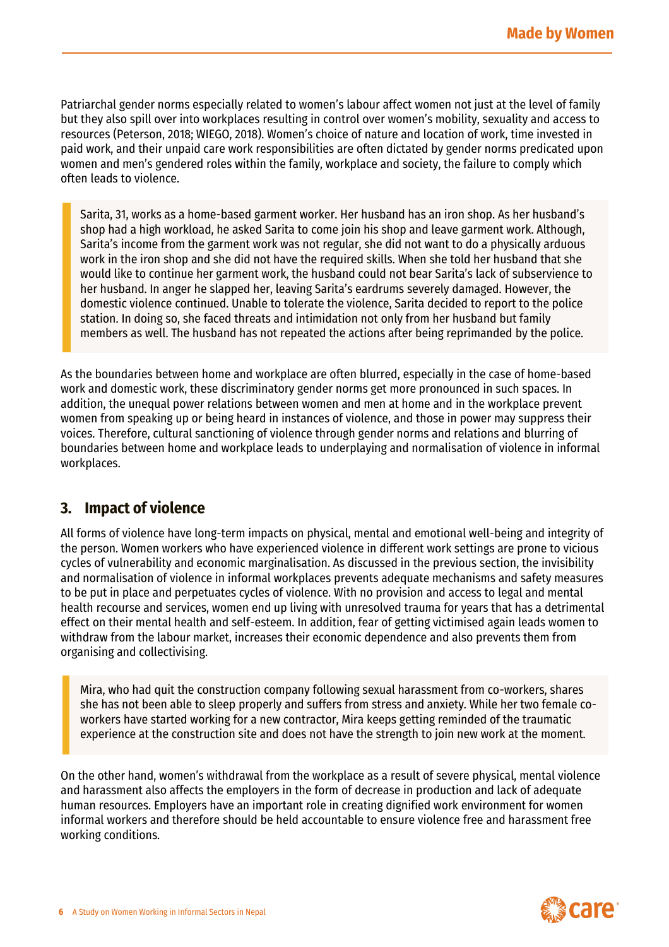Patriarchal gender norms especially related to women's labour affect women not just at the level of family but they also spill over into workplaces resulting in control over women's mobility, sexuality and access to resources (Peterson, 2018; WIEGO, 2018). Women's choice of nature and location of work, time invested in paid work, and their unpaid care work responsibilities are often dictated by gender norms predicated upon women and men's gendered roles within the family, workplace and society, the failure to comply which often leads to violence.

Sarita, 31, works as a home-based garment worker. Her husband has an iron shop. As her husband's shop had a high workload, he asked Sarita to come join his shop and leave garment work. Although, Sarita's income from the garment work was not regular, she did not want to do a physically arduous work in the iron shop and she did not have the required skills. When she told her husband that she would like to continue her garment work, the husband could not bear Sarita's lack of subservience to her husband. In anger he slapped her, leaving Sarita's eardrums severely damaged. However, the domestic violence continued. Unable to tolerate the violence, Sarita decided to report to the police station. In doing so, she faced threats and intimidation not only from her husband but family members as well. The husband has not repeated the actions after being reprimanded by the police.

As the boundaries between home and workplace are often blurred, especially in the case of home-based work and domestic work, these discriminatory gender norms get more pronounced in such spaces. In addition, the unequal power relations between women and men at home and in the workplace prevent women from speaking up or being heard in instances of violence, and those in power may suppress their voices. Therefore, cultural sanctioning of violence through gender norms and relations and blurring of boundaries between home and workplace leads to underplaying and normalisation of violence in informal workplaces.

#### **3. Impact of violence**

All forms of violence have long-term impacts on physical, mental and emotional well-being and integrity of the person. Women workers who have experienced violence in different work settings are prone to vicious cycles of vulnerability and economic marginalisation. As discussed in the previous section, the invisibility and normalisation of violence in informal workplaces prevents adequate mechanisms and safety measures to be put in place and perpetuates cycles of violence. With no provision and access to legal and mental health recourse and services, women end up living with unresolved trauma for years that has a detrimental effect on their mental health and self-esteem. In addition, fear of getting victimised again leads women to withdraw from the labour market, increases their economic dependence and also prevents them from organising and collectivising.

Mira, who had quit the construction company following sexual harassment from co-workers, shares she has not been able to sleep properly and suffers from stress and anxiety. While her two female coworkers have started working for a new contractor, Mira keeps getting reminded of the traumatic experience at the construction site and does not have the strength to join new work at the moment.

On the other hand, women's withdrawal from the workplace as a result of severe physical, mental violence and harassment also affects the employers in the form of decrease in production and lack of adequate human resources. Employers have an important role in creating dignified work environment for women informal workers and therefore should be held accountable to ensure violence free and harassment free working conditions.

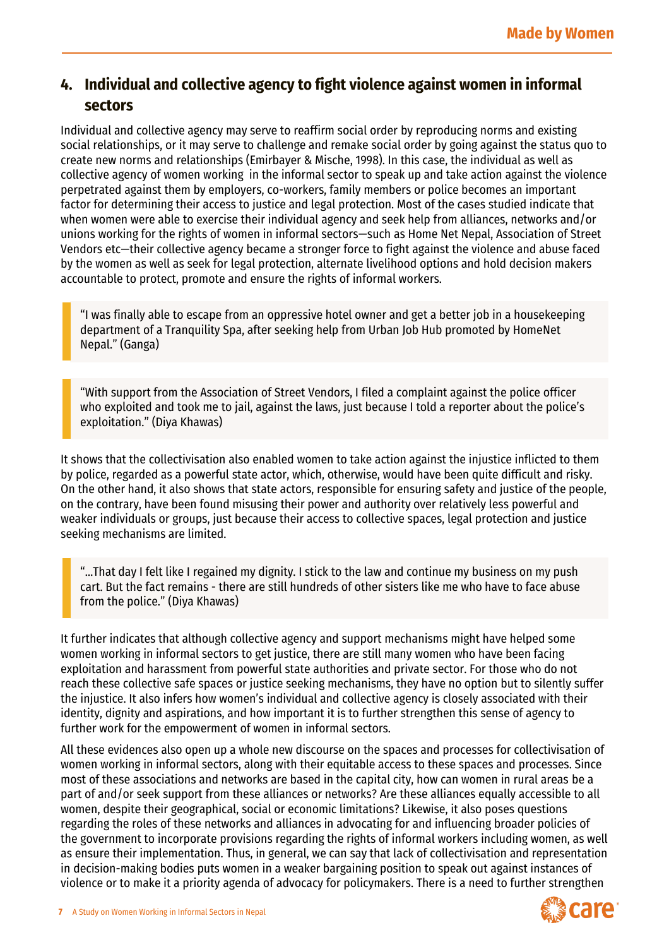#### **4. Individual and collective agency to fight violence against women in informal sectors**

Individual and collective agency may serve to reaffirm social order [by reproducing norms](http://sociology.about.com/od/Sociology101/fl/What-is-a-Norm-Why-Does-it-Matter.htm) and existing social relationships, or it may serve to challenge and remake social order by going against the status quo to create new norms and relationships (Emirbayer & Mische, 1998). In this case, the individual as well as collective agency of women working in the informal sector to speak up and take action against the violence perpetrated against them by employers, co-workers, family members or police becomes an important factor for determining their access to justice and legal protection. Most of the cases studied indicate that when women were able to exercise their individual agency and seek help from alliances, networks and/or unions working for the rights of women in informal sectors—such as Home Net Nepal, Association of Street Vendors etc—their collective agency became a stronger force to fight against the violence and abuse faced by the women as well as seek for legal protection, alternate livelihood options and hold decision makers accountable to protect, promote and ensure the rights of informal workers.

"I was finally able to escape from an oppressive hotel owner and get a better job in a housekeeping department of a Tranquility Spa, after seeking help from Urban Job Hub promoted by HomeNet Nepal." (Ganga)

"With support from the Association of Street Vendors, I filed a complaint against the police officer who exploited and took me to jail, against the laws, just because I told a reporter about the police's exploitation." (Diya Khawas)

It shows that the collectivisation also enabled women to take action against the injustice inflicted to them by police, regarded as a powerful state actor, which, otherwise, would have been quite difficult and risky. On the other hand, it also shows that state actors, responsible for ensuring safety and justice of the people, on the contrary, have been found misusing their power and authority over relatively less powerful and weaker individuals or groups, just because their access to collective spaces, legal protection and justice seeking mechanisms are limited.

"…That day I felt like I regained my dignity. I stick to the law and continue my business on my push cart. But the fact remains - there are still hundreds of other sisters like me who have to face abuse from the police." (Diya Khawas)

It further indicates that although collective agency and support mechanisms might have helped some women working in informal sectors to get justice, there are still many women who have been facing exploitation and harassment from powerful state authorities and private sector. For those who do not reach these collective safe spaces or justice seeking mechanisms, they have no option but to silently suffer the injustice. It also infers how women's individual and collective agency is closely associated with their identity, dignity and aspirations, and how important it is to further strengthen this sense of agency to further work for the empowerment of women in informal sectors.

All these evidences also open up a whole new discourse on the spaces and processes for collectivisation of women working in informal sectors, along with their equitable access to these spaces and processes. Since most of these associations and networks are based in the capital city, how can women in rural areas be a part of and/or seek support from these alliances or networks? Are these alliances equally accessible to all women, despite their geographical, social or economic limitations? Likewise, it also poses questions regarding the roles of these networks and alliances in advocating for and influencing broader policies of the government to incorporate provisions regarding the rights of informal workers including women, as well as ensure their implementation. Thus, in general, we can say that lack of collectivisation and representation in decision-making bodies puts women in a weaker bargaining position to speak out against instances of violence or to make it a priority agenda of advocacy for policymakers. There is a need to further strengthen

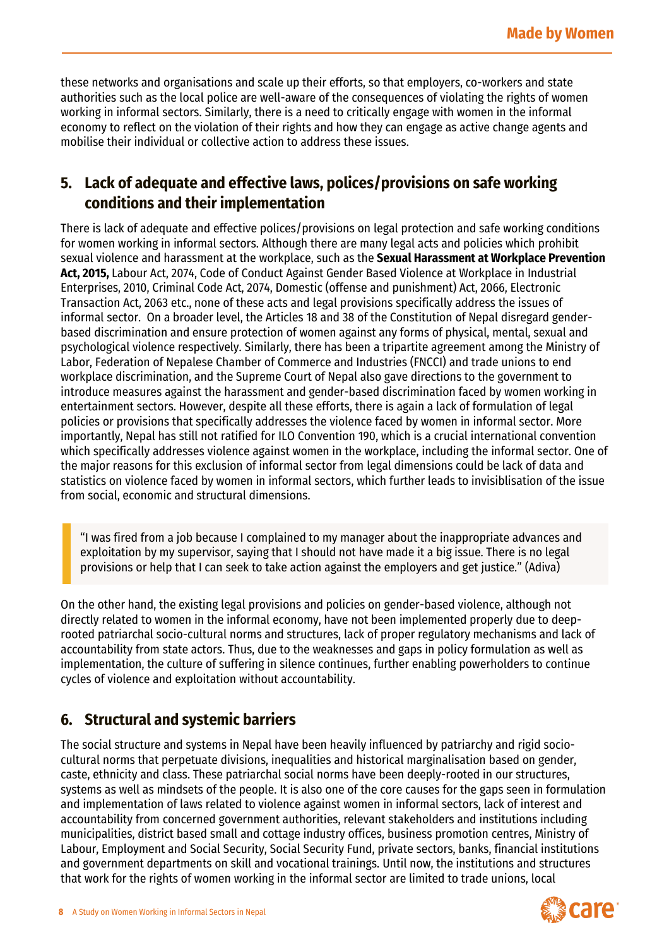these networks and organisations and scale up their efforts, so that employers, co-workers and state authorities such as the local police are well-aware of the consequences of violating the rights of women working in informal sectors. Similarly, there is a need to critically engage with women in the informal economy to reflect on the violation of their rights and how they can engage as active change agents and mobilise their individual or collective action to address these issues.

### **5. Lack of adequate and effective laws, polices/provisions on safe working conditions and their implementation**

There is lack of adequate and effective polices/provisions on legal protection and safe working conditions for women working in informal sectors. Although there are many legal acts and policies which prohibit sexual violence and harassment at the workplace, such as the **Sexual Harassment at Workplace Prevention Act, 2015,** Labour Act, 2074, Code of Conduct Against Gender Based Violence at Workplace in Industrial Enterprises, 2010, Criminal Code Act, 2074, Domestic (offense and punishment) Act, 2066, Electronic Transaction Act, 2063 etc., none of these acts and legal provisions specifically address the issues of informal sector. On a broader level, the Articles 18 and 38 of the Constitution of Nepal disregard genderbased discrimination and ensure protection of women against any forms of physical, mental, sexual and psychological violence respectively. Similarly, there has been a tripartite agreement among the Ministry of Labor, Federation of Nepalese Chamber of Commerce and Industries (FNCCI) and trade unions to end workplace discrimination, and the Supreme Court of Nepal also gave directions to the government to introduce measures against the harassment and gender-based discrimination faced by women working in entertainment sectors. However, despite all these efforts, there is again a lack of formulation of legal policies or provisions that specifically addresses the violence faced by women in informal sector. More importantly, Nepal has still not ratified for ILO Convention 190, which is a crucial international convention which specifically addresses violence against women in the workplace, including the informal sector. One of the major reasons for this exclusion of informal sector from legal dimensions could be lack of data and statistics on violence faced by women in informal sectors, which further leads to invisiblisation of the issue from social, economic and structural dimensions.

"I was fired from a job because I complained to my manager about the inappropriate advances and exploitation by my supervisor, saying that I should not have made it a big issue. There is no legal provisions or help that I can seek to take action against the employers and get justice." (Adiva)

On the other hand, the existing legal provisions and policies on gender-based violence, although not directly related to women in the informal economy, have not been implemented properly due to deeprooted patriarchal socio-cultural norms and structures, lack of proper regulatory mechanisms and lack of accountability from state actors. Thus, due to the weaknesses and gaps in policy formulation as well as implementation, the culture of suffering in silence continues, further enabling powerholders to continue cycles of violence and exploitation without accountability.

#### **6. Structural and systemic barriers**

The social structure and systems in Nepal have been heavily influenced by patriarchy and rigid sociocultural norms that perpetuate divisions, inequalities and historical marginalisation based on gender, caste, ethnicity and class. These patriarchal social norms have been deeply-rooted in our structures, systems as well as mindsets of the people. It is also one of the core causes for the gaps seen in formulation and implementation of laws related to violence against women in informal sectors, lack of interest and accountability from concerned government authorities, relevant stakeholders and institutions including municipalities, district based small and cottage industry offices, business promotion centres, Ministry of Labour, Employment and Social Security, Social Security Fund, private sectors, banks, financial institutions and government departments on skill and vocational trainings. Until now, the institutions and structures that work for the rights of women working in the informal sector are limited to trade unions, local

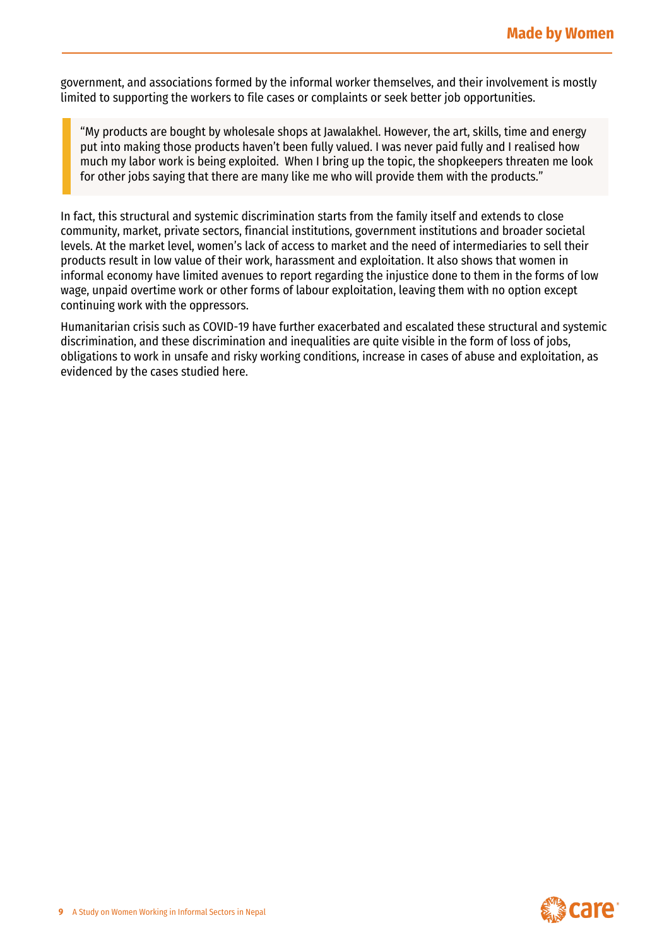government, and associations formed by the informal worker themselves, and their involvement is mostly limited to supporting the workers to file cases or complaints or seek better job opportunities.

"My products are bought by wholesale shops at Jawalakhel. However, the art, skills, time and energy put into making those products haven't been fully valued. I was never paid fully and I realised how much my labor work is being exploited. When I bring up the topic, the shopkeepers threaten me look for other jobs saying that there are many like me who will provide them with the products."

In fact, this structural and systemic discrimination starts from the family itself and extends to close community, market, private sectors, financial institutions, government institutions and broader societal levels. At the market level, women's lack of access to market and the need of intermediaries to sell their products result in low value of their work, harassment and exploitation. It also shows that women in informal economy have limited avenues to report regarding the injustice done to them in the forms of low wage, unpaid overtime work or other forms of labour exploitation, leaving them with no option except continuing work with the oppressors.

Humanitarian crisis such as COVID-19 have further exacerbated and escalated these structural and systemic discrimination, and these discrimination and inequalities are quite visible in the form of loss of jobs, obligations to work in unsafe and risky working conditions, increase in cases of abuse and exploitation, as evidenced by the cases studied here.

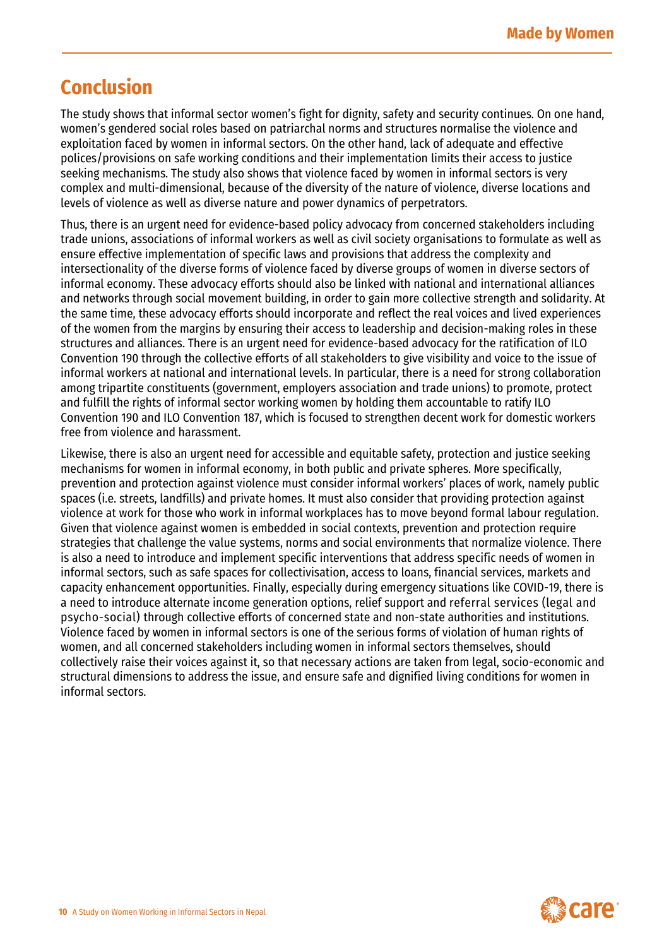## **Conclusion**

The study shows that informal sector women's fight for dignity, safety and security continues. On one hand, women's gendered social roles based on patriarchal norms and structures normalise the violence and exploitation faced by women in informal sectors. On the other hand, lack of adequate and effective polices/provisions on safe working conditions and their implementation limits their access to justice seeking mechanisms. The study also shows that violence faced by women in informal sectors is very complex and multi-dimensional, because of the diversity of the nature of violence, diverse locations and levels of violence as well as diverse nature and power dynamics of perpetrators.

Thus, there is an urgent need for evidence-based policy advocacy from concerned stakeholders including trade unions, associations of informal workers as well as civil society organisations to formulate as well as ensure effective implementation of specific laws and provisions that address the complexity and intersectionality of the diverse forms of violence faced by diverse groups of women in diverse sectors of informal economy. These advocacy efforts should also be linked with national and international alliances and networks through social movement building, in order to gain more collective strength and solidarity. At the same time, these advocacy efforts should incorporate and reflect the real voices and lived experiences of the women from the margins by ensuring their access to leadership and decision-making roles in these structures and alliances. There is an urgent need for evidence-based advocacy for the ratification of ILO Convention 190 through the collective efforts of all stakeholders to give visibility and voice to the issue of informal workers at national and international levels. In particular, there is a need for strong collaboration among tripartite constituents (government, employers association and trade unions) to promote, protect and fulfill the rights of informal sector working women by holding them accountable to ratify ILO Convention 190 and ILO Convention 187, which is focused to strengthen decent work for domestic workers free from violence and harassment.

Likewise, there is also an urgent need for accessible and equitable safety, protection and justice seeking mechanisms for women in informal economy, in both public and private spheres. More specifically, prevention and protection against violence must consider informal workers' places of work, namely public spaces (i.e. streets, landfills) and private homes. It must also consider that providing protection against violence at work for those who work in informal workplaces has to move beyond formal labour regulation. Given that violence against women is embedded in social contexts, prevention and protection require strategies that challenge the value systems, norms and social environments that normalize violence. There is also a need to introduce and implement specific interventions that address specific needs of women in informal sectors, such as safe spaces for collectivisation, access to loans, financial services, markets and capacity enhancement opportunities. Finally, especially during emergency situations like COVID-19, there is a need to introduce alternate income generation options, relief support and referral services (legal and psycho-social) through collective efforts of concerned state and non-state authorities and institutions. Violence faced by women in informal sectors is one of the serious forms of violation of human rights of women, and all concerned stakeholders including women in informal sectors themselves, should collectively raise their voices against it, so that necessary actions are taken from legal, socio-economic and structural dimensions to address the issue, and ensure safe and dignified living conditions for women in informal sectors.